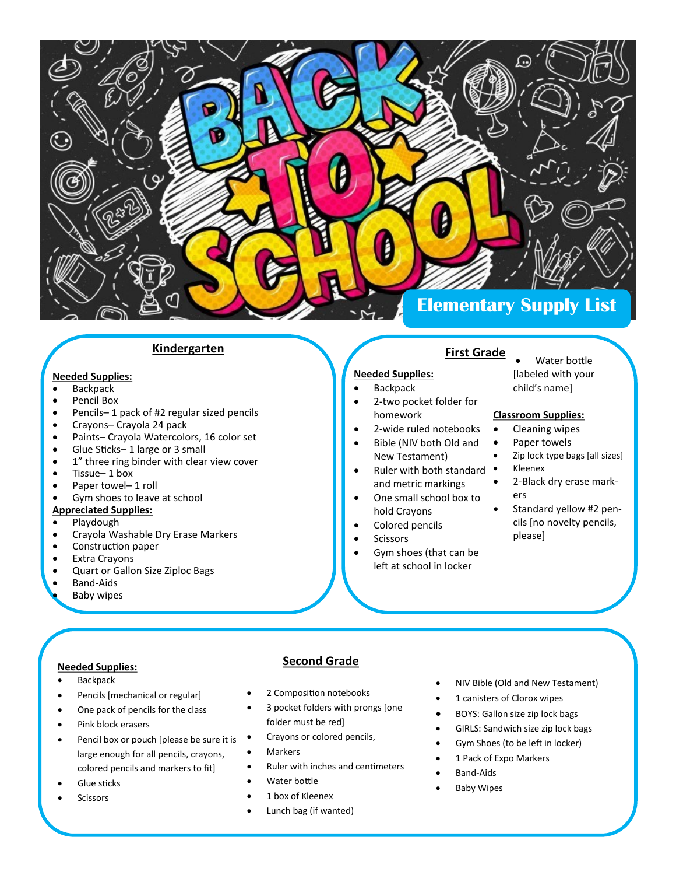

#### **Kindergarten**

#### **Needed Supplies:**

- $\bullet$  Backpack
- Pencil Box
- Pencils– 1 pack of #2 regular sized pencils
- Crayons– Crayola 24 pack
- Paints– Crayola Watercolors, 16 color set
- Glue Sticks– 1 large or 3 small
- 1" three ring binder with clear view cover
- Tissue– 1 box
- Paper towel-1 roll
- Gym shoes to leave at school

#### **Appreciated Supplies:**

- Playdough
- Crayola Washable Dry Erase Markers
- Construction paper
- Extra Crayons
- Quart or Gallon Size Ziploc Bags
- Band-Aids
- Baby wipes

# **First Grade**

### **Needed Supplies:**

- Backpack
- 2-two pocket folder for homework
- 2-wide ruled notebooks
- Bible (NIV both Old and New Testament)
- Ruler with both standard and metric markings
- One small school box to hold Crayons
- Colored pencils
- **Scissors**
- Gym shoes (that can be left at school in locker

 Water bottle [labeled with your child's name]

### **Classroom Supplies:**

- Cleaning wipes
- Paper towels
- Zip lock type bags [all sizes] Kleenex
- 2-Black dry erase markers
- Standard yellow #2 pencils [no novelty pencils, please]

### **Needed Supplies:**

- Backpack
- Pencils [mechanical or regular]
- One pack of pencils for the class
- Pink block erasers
- Pencil box or pouch [please be sure it is large enough for all pencils, crayons, colored pencils and markers to fit]
- Glue sticks
- Scissors

# **Second Grade**

- 2 Composition notebooks
	- 3 pocket folders with prongs [one folder must be red]
- Crayons or colored pencils,
- Markers
- Ruler with inches and centimeters
- Water bottle
- 1 box of Kleenex
- Lunch bag (if wanted)
- NIV Bible (Old and New Testament)
- 1 canisters of Clorox wipes
- BOYS: Gallon size zip lock bags
- GIRLS: Sandwich size zip lock bags
- Gym Shoes (to be left in locker)
- 1 Pack of Expo Markers
- Band-Aids
- Baby Wipes